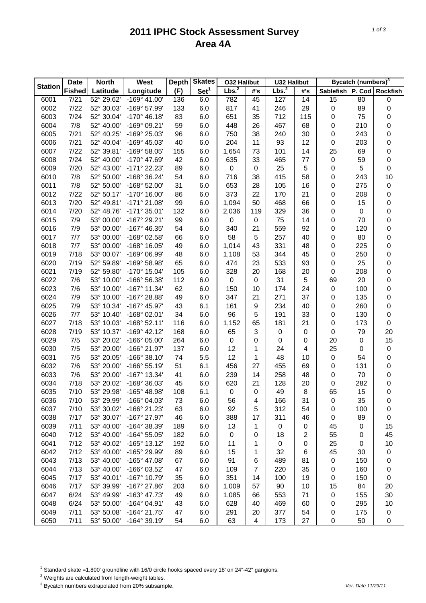## **2011 IPHC Stock Assessment Survey Area 4A**

|                | <b>Date</b>   | <b>North</b> | West                  | <b>Depth</b> | <b>Skates</b>    | <b>O32 Halibut</b> |                     | <b>U32 Halibut</b> |     | Bycatch (numbers) <sup>3</sup> |     |           |
|----------------|---------------|--------------|-----------------------|--------------|------------------|--------------------|---------------------|--------------------|-----|--------------------------------|-----|-----------|
| <b>Station</b> | <b>Fished</b> | Latitude     | Longitude             | (F)          | Set <sup>1</sup> | Lbs. <sup>2</sup>  | #'s                 | Lbs. <sup>2</sup>  | #'s | Sablefish   P. Cod   Rockfish  |     |           |
| 6001           | 7/21          | 52° 29.62'   | $-169^{\circ}$ 41.00' | 136          | 6.0              | 782                | 45                  | 127                | 14  | 15                             | 80  | 0         |
| 6002           | 7/22          | 52° 30.03'   | -169° 57.99'          | 133          | 6.0              | 817                | 41                  | 246                | 29  | 0                              | 89  | $\pmb{0}$ |
| 6003           | 7/24          | 52° 30.04'   | $-170^{\circ}$ 46.18' | 83           | 6.0              | 651                | 35                  | 712                | 115 | 0                              | 75  | 0         |
| 6004           | 7/8           | 52° 40.00'   | -169° 09.21'          | 59           | 6.0              | 448                | 26                  | 467                | 68  | 0                              | 210 | 0         |
| 6005           | 7/21          | 52° 40.25'   | -169° 25.03'          | 96           | 6.0              | 750                | 38                  | 240                | 30  | 0                              | 243 | 0         |
| 6006           | 7/21          | 52° 40.04'   | -169° 45.03'          | 40           | 6.0              | 204                | 11                  | 93                 | 12  | 0                              | 203 | 0         |
| 6007           | 7/22          | 52° 39.81'   | -169° 58.05'          | 155          | 6.0              | 1,654              | 73                  | 101                | 14  | 25                             | 69  | 0         |
| 6008           | 7/24          | 52° 40.00'   | -170° 47.69'          | 42           | 6.0              | 635                | 33                  | 465                | 77  | 0                              | 59  | 0         |
| 6009           | 7/20          | 52° 43.00'   | -171° 22.23'          | 89           | 6.0              | 0                  | 0                   | 25                 | 5   | 0                              | 5   | 0         |
| 6010           | 7/8           | 52° 50.00'   | -168° 36.24'          | 54           | 6.0              | 716                | 38                  | 415                | 58  | 0                              | 243 | 10        |
| 6011           | 7/8           | 52° 50.00'   | $-168^{\circ}$ 52.00' | 31           | 6.0              | 653                | 28                  | 105                | 16  | 0                              | 275 | 0         |
| 6012           | 7/22          | 52° 50.17'   | -170° 16.00'          | 86           | 6.0              | 373                | 22                  | 170                | 21  | 0                              | 208 | 0         |
| 6013           | 7/20          | 52° 49.81'   | $-171°$ 21.08'        | 99           | 6.0              | 1,094              | 50                  | 468                | 66  | 0                              | 15  | 0         |
| 6014           | 7/20          | 52° 48.76'   | $-171°35.01'$         | 132          | 6.0              | 2,036              | 119                 | 329                | 36  | 0                              | 0   | 0         |
| 6015           | 7/9           | 53° 00.00'   | -167° 29.21'          | 99           | 6.0              | 0                  | 0                   | 75                 | 14  | 0                              | 70  | 0         |
| 6016           | 7/9           | 53° 00.00'   | -167° 46.35'          | 54           | 6.0              | 340                | 21                  | 559                | 92  | 0                              | 120 | 0         |
| 6017           | 7/7           | 53° 00.00'   | -168° 02.58'          | 66           | 6.0              | 58                 | 5                   | 257                | 40  | 0                              | 80  | 0         |
| 6018           | 7/7           | 53° 00.00'   | $-168^\circ$ 16.05'   | 49           | 6.0              | 1,014              | 43                  | 331                | 48  | 0                              | 225 | 0         |
| 6019           | 7/18          | 53° 00.07'   | -169° 06.99'          | 48           | 6.0              | 1,108              | 53                  | 344                | 45  | 0                              | 250 | 0         |
| 6020           | 7/19          | 52° 59.89'   | -169° 58.98'          | 65           | 6.0              | 474                | 23                  | 533                | 93  | 0                              | 25  | 0         |
| 6021           | 7/19          | 52° 59.80'   | -170° 15.04'          | 105          | 6.0              | 328                | 20                  | 168                | 20  | 0                              | 208 | 0         |
| 6022           | 7/6           | 53° 10.00'   | -166° 56.38'          | 112          | 6.0              | 0                  | 0                   | 31                 | 5   | 69                             | 20  | 0         |
| 6023           | 7/6           | 53° 10.00'   | $-167°$ 11.34'        | 62           | 6.0              | 150                | 10                  | 174                | 24  | 0                              | 100 | 0         |
| 6024           | 7/9           | 53° 10.00'   | -167° 28.88'          | 49           | 6.0              | 347                | 21                  | 271                | 37  | 0                              | 135 | 0         |
| 6025           | 7/9           | 53° 10.34'   | -167° 45.97'          | 43           | 6.1              | 161                | 9                   | 234                | 40  | 0                              | 260 | 0         |
| 6026           | 7/7           | 53° 10.40'   | $-168°02.01'$         | 34           | 6.0              | 96                 | 5                   | 191                | 33  | 0                              | 130 | 0         |
| 6027           | 7/18          | 53° 10.03'   | $-168°52.11'$         | 116          | 6.0              | 1,152              | 65                  | 181                | 21  | 0                              | 173 | $\pmb{0}$ |
| 6028           | 7/19          | 53° 10.37'   | $-169°$ 42.12'        | 168          | 6.0              | 65                 | 3                   | $\boldsymbol{0}$   | 0   | 0                              | 79  | 20        |
| 6029           | 7/5           | 53° 20.02'   | -166° 05.00'          | 264          | 6.0              | 0                  | 0                   | 0                  | 0   | 20                             | 0   | 15        |
| 6030           | 7/5           | 53° 20.00'   | -166° 21.97'          | 137          | 6.0              | 12                 | 1                   | 24                 | 4   | 25                             | 0   | $\pmb{0}$ |
| 6031           | 7/5           | 53° 20.05'   | $-166°38.10'$         | 74           | 5.5              | 12                 | 1                   | 48                 | 10  | $\pmb{0}$                      | 54  | 0         |
| 6032           | 7/6           | 53° 20.00'   | $-166°55.19'$         | 51           | 6.1              | 456                | 27                  | 455                | 69  | 0                              | 131 | 0         |
| 6033           | 7/6           | 53° 20.00'   | $-167^{\circ}$ 13.34' | 41           | 6.0              | 239                | 14                  | 258                | 48  | 0                              | 70  | 0         |
| 6034           | 7/18          | 53° 20.02'   | -168° 36.03'          | 45           | 6.0              | 620                | 21                  | 128                | 20  | 0                              | 282 | 0         |
| 6035           | 7/10          | 53° 29.98'   | -165° 48.98'          | 108          | 6.1              | 0                  | 0                   | 49                 | 8   | 65                             | 15  | $\pmb{0}$ |
| 6036           | 7/10          | 53° 29.99'   | -166° 04.03'          | 73           | 6.0              | 56                 | 4                   | 166                | 31  | 0                              | 35  | 0         |
| 6037           | 7/10          | 53° 30.02'   | -166° 21.23'          | 63           | 6.0              | 92                 | 5                   | 312                | 54  | 0                              | 100 | 0         |
| 6038           | 7/17          | 53° 30.07'   | -167° 27.97'          | 46           | 6.0              | 388                | 17                  | 311                | 46  | 0                              | 89  | 0         |
| 6039           | 7/11          | 53° 40.00'   | -164° 38.39'          | 189          | 6.0              | 13                 | 1                   | 0                  | 0   | 45                             | 0   | 15        |
| 6040           | 7/12          | 53° 40.00'   | $-164^{\circ} 55.05'$ | 182          | 6.0              | 0                  | 0                   | 18                 | 2   | 55                             | 0   | 45        |
| 6041           | 7/12          | 53° 40.02'   | $-165°$ 13.12'        | 192          | 6.0              | 11                 | 1                   | 0                  | 0   | 25                             | 0   | 10        |
| 6042           | 7/12          | 53° 40.00'   | -165° 29.99'          | 89           | 6.0              | 15                 | 1                   | 32                 | 6   | 45                             | 30  | 0         |
| 6043           | 7/13          | 53° 40.00'   | -165° 47.08'          | 67           | 6.0              | 91                 |                     | 489                | 81  | 0                              | 150 | 0         |
| 6044           | 7/13          | 53° 40.00'   | -166° 03.52'          | 47           |                  |                    | 6<br>$\overline{7}$ | 220                | 35  |                                | 160 |           |
|                |               |              |                       |              | 6.0              | 109                |                     |                    |     | 0                              |     | 0         |
| 6045           | 7/17          | 53° 40.01'   | -167° 10.79'          | 35           | 6.0              | 351                | 14                  | 100                | 19  | 0                              | 150 | 0         |
| 6046           | 7/17          | 53° 39.99'   | -167° 27.86'          | 203          | 6.0              | 1,009              | 57                  | 90                 | 10  | 15                             | 84  | 20        |
| 6047           | 6/24          | 53° 49.99'   | -163° 47.73'          | 49           | 6.0              | 1,085              | 66                  | 553                | 71  | 0                              | 155 | 30        |
| 6048           | 6/24          | 53° 50.00'   | $-164^{\circ}$ 04.91' | 43           | 6.0              | 628                | 40                  | 469                | 60  | 0                              | 295 | 10        |
| 6049           | 7/11          | 53° 50.08'   | -164° 21.75'          | 47           | 6.0              | 291                | 20                  | 377                | 54  | 0                              | 175 | 0         |
| 6050           | 7/11          | 53° 50.00'   | $-164^{\circ}$ 39.19' | 54           | 6.0              | 63                 | $\overline{4}$      | 173                | 27  | 0                              | 50  | 0         |

<sup>1</sup> Standard skate =1,800' groundline with 16/0 circle hooks spaced every 18' on 24"-42" gangions.

2 Weights are calculated from length-weight tables.

3 Bycatch numbers extrapolated from 20% subsample. *Ver. Date 11/29/11*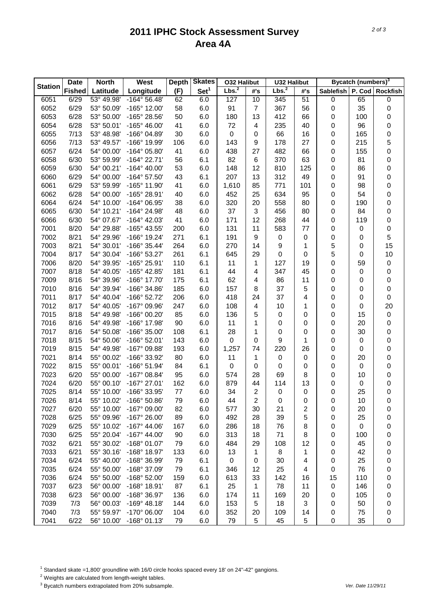## **2011 IPHC Stock Assessment Survey Area 4A**

|                | <b>Date</b>   | <b>North</b> | <b>West</b>           | <b>Depth</b> | <b>Skates</b>    | <b>O32 Halibut</b> |                | <b>U32 Halibut</b> |                     |                           | Bycatch (numbers) <sup>3</sup> |           |
|----------------|---------------|--------------|-----------------------|--------------|------------------|--------------------|----------------|--------------------|---------------------|---------------------------|--------------------------------|-----------|
| <b>Station</b> | <b>Fished</b> | Latitude     | Longitude             | (F)          | Set <sup>1</sup> | Lbs. <sup>2</sup>  | #'s            | Lbs. <sup>2</sup>  | #'s                 | Sablefish P. Cod Rockfish |                                |           |
| 6051           | 6/29          | 53° 49.98'   | $-164^{\circ} 56.48'$ | 62           | 6.0              | 127                | 10             | 345                | 51                  | 0                         | 65                             | 0         |
| 6052           | 6/29          | 53° 50.09'   | -165° 12.00'          | 58           | 6.0              | 91                 | $\overline{7}$ | 367                | 56                  | 0                         | 35                             | $\pmb{0}$ |
| 6053           | 6/28          | 53° 50.00'   | -165° 28.56'          | 50           | 6.0              | 180                | 13             | 412                | 66                  | 0                         | 100                            | 0         |
| 6054           | 6/28          | 53° 50.01'   | -165° 46.00'          | 41           | 6.0              | 72                 | 4              | 235                | 40                  | 0                         | 96                             | 0         |
| 6055           | 7/13          | 53° 48.98'   | -166° 04.89'          | 30           | 6.0              | $\mathbf 0$        | 0              | 66                 | 16                  | 0                         | 165                            | 0         |
| 6056           | 7/13          | 53° 49.57'   | -166° 19.99'          | 106          | 6.0              | 143                | 9              | 178                | 27                  | 0                         | 215                            | 5         |
| 6057           | 6/24          | 54° 00.00'   | -164° 05.80'          | 41           | 6.0              | 438                | 27             | 482                | 66                  | 0                         | 155                            | 0         |
| 6058           | 6/30          | 53° 59.99'   | $-164^{\circ}$ 22.71' | 56           | 6.1              | 82                 | 6              | 370                | 63                  | 0                         | 81                             | 0         |
| 6059           | 6/30          | 54° 00.21'   | $-164^{\circ}$ 40.00' | 53           | 6.0              | 148                | 12             | 810                | 125                 | 0                         | 86                             | 0         |
| 6060           | 6/29          | 54° 00.00'   | $-164^{\circ}$ 57.50  | 43           | 6.1              | 207                | 13             | 312                | 49                  | 0                         | 91                             | 0         |
| 6061           | 6/29          | 53° 59.99'   | -165° 11.90'          | 41           | 6.0              | 1,610              | 85             | 771                | 101                 | 0                         | 98                             | 0         |
| 6062           | 6/28          | 54° 00.00'   | -165° 28.91'          | 40           | 6.0              | 452                | 25             | 634                | 95                  | 0                         | 54                             | 0         |
| 6064           | 6/24          | 54° 10.00'   | -164° 06.95'          | 38           | 6.0              | 320                | 20             | 558                | 80                  | 0                         | 190                            | 0         |
| 6065           | 6/30          | 54° 10.21'   | -164° 24.98'          | 48           | 6.0              | 37                 | 3              | 456                | 80                  | 0                         | 84                             | 0         |
| 6066           | 6/30          | 54° 07.67'   | $-164^{\circ}$ 42.03' | 41           | 6.0              | 171                | 12             | 268                | 44                  | 0                         | 119                            | 0         |
| 7001           | 8/20          | 54° 29.88'   | -165° 43.55'          | 200          | 6.0              | 131                | 11             | 583                | 77                  | 0                         | 0                              | 0         |
| 7002           | 8/21          | 54° 29.96'   | -166° 19.24'          | 271          | 6.1              | 191                | 9              | $\boldsymbol{0}$   | 0                   | 0                         | 0                              | 5         |
| 7003           | 8/21          | 54° 30.01'   | -166° 35.44'          | 264          | 6.0              | 270                | 14             | 9                  | 1                   | 5                         | 0                              | 15        |
| 7004           | 8/17          | 54° 30.04'   | -166° 53.27'          | 261          | 6.1              | 645                | 29             | 0                  | 0                   | 5                         | 0                              | 10        |
| 7006           | 8/20          | 54° 39.95'   | -165° 25.91'          | 110          | 6.1              | 11                 | 1              | 127                | 19                  | 0                         | 59                             | $\pmb{0}$ |
| 7007           | 8/18          | 54° 40.05'   | -165° 42.85'          | 181          | 6.1              | 44                 | 4              | 347                | 45                  | 0                         | 0                              | 0         |
| 7009           | 8/16          | 54° 39.96'   | -166° 17.70'          | 175          | 6.1              | 62                 | 4              | 86                 | 11                  | 0                         | 0                              | 0         |
| 7010           | 8/16          | 54° 39.94'   | -166° 34.86'          | 185          | 6.0              | 157                | 8              | 37                 | 5                   | 0                         | 0                              | 0         |
| 7011           | 8/17          | 54° 40.04'   | -166° 52.72'          | 206          | 6.0              | 418                | 24             | 37                 | 4                   | 0                         | 0                              | 0         |
| 7012           | 8/17          | 54° 40.05'   | -167° 09.96'          | 247          | 6.0              | 108                | 4              | 10                 | 1                   | 0                         | 0                              | 20        |
| 7015           | 8/18          | 54° 49.98'   | -166° 00.20'          | 85           | 6.0              | 136                | 5              | $\pmb{0}$          | 0                   | 0                         | 15                             | $\pmb{0}$ |
| 7016           | 8/16          | 54° 49.98'   | -166° 17.98'          | 90           | 6.0              | 11                 | 1              | 0                  | 0                   | 0                         | 20                             | 0         |
| 7017           | 8/16          | 54° 50.08'   | -166° 35.00'          | 108          | 6.1              | 28                 | 1              | 0                  | 0                   | 0                         | 30                             | 0         |
| 7018           | 8/15          | 54° 50.06'   | -166° 52.01'          | 143          | 6.0              | $\mathbf 0$        | 0              | 9                  | 1                   | 0                         | 0                              | 0         |
| 7019           | 8/15          | 54° 49.98'   | -167° 09.88'          | 193          | 6.0              | 1,257              | 74             | 220                | 26                  | 0                         | 0                              | 0         |
| 7021           | 8/14          | 55° 00.02'   | -166° 33.92'          | 80           | 6.0              | 11                 | 1              | $\pmb{0}$          | 0                   | 0                         | 20                             | 0         |
| 7022           | 8/15          | 55° 00.01'   | $-166°51.94'$         | 84           | 6.1              | 0                  | 0              | $\boldsymbol{0}$   | 0                   | 0                         | 0                              | 0         |
| 7023           | 6/20          | 55° 00.00'   | $-167^{\circ}$ 08.84' | 95           | 6.0              | 574                | 28             | 69                 | 8                   |                           | 10                             | 0         |
| 7024           | 6/20          | 55° 00.10'   | -167° 27.01'          | 162          | 6.0              | 879                | 44             | 114                | 13                  | 0                         | 0                              |           |
| 7025           | 8/14          | 55° 10.00'   | -166° 33.95'          | 77           | 6.0              | 34                 | $\overline{2}$ | $\pmb{0}$          | $\mathbf 0$         | 0<br>0                    | 25                             | 0<br>0    |
| 7026           | 8/14          | 55° 10.02'   | -166° 50.86'          |              | 6.0              |                    | $\overline{2}$ |                    |                     |                           |                                |           |
|                |               | 55° 10.00'   | -167° 09.00'          | 79<br>82     |                  | 44<br>577          |                | 0<br>21            | 0<br>$\overline{c}$ | 0                         | 10                             | 0         |
| 7027           | 6/20<br>6/25  | 55° 09.96'   |                       | 89           | 6.0              |                    | 30<br>28       |                    |                     | 0                         | 20                             | 0         |
| 7028           |               |              | -167° 26.00'          |              | 6.0              | 492                |                | 39                 | 5                   | 0                         | 25                             | 0         |
| 7029           | 6/25          | 55° 10.02'   | $-167^{\circ}$ 44.06' | 167          | 6.0              | 286                | 18             | 76                 | 8                   | 0                         | 0                              | 0         |
| 7030           | 6/25          | 55° 20.04'   | $-167^{\circ}$ 44.00' | 90           | 6.0              | 313                | 18             | 71                 | 8                   | 0                         | 100                            | 0         |
| 7032           | 6/21          | 55° 30.02'   | -168° 01.07'          | 79           | 6.0              | 484                | 29             | 108                | 12                  | 0                         | 45                             | 0         |
| 7033           | 6/21          | 55° 30.16'   | -168° 18.97'          | 133          | 6.0              | 13                 | 1              | 8                  | 1                   | 0                         | 42                             | 0         |
| 7034           | 6/24          | 55° 40.00'   | -168° 36.99'          | 79           | 6.1              | $\mathbf 0$        | 0              | 30                 | 4                   | 0                         | 25                             | 0         |
| 7035           | 6/24          | 55° 50.00'   | -168° 37.09'          | 79           | 6.1              | 346                | 12             | 25                 | 4                   | 0                         | 76                             | 0         |
| 7036           | 6/24          | 55° 50.00'   | -168° 52.00'          | 159          | 6.0              | 613                | 33             | 142                | 16                  | 15                        | 110                            | 0         |
| 7037           | 6/23          | 56° 00.00'   | -168° 18.91'          | 87           | 6.1              | 25                 | 1              | 78                 | 11                  | 0                         | 146                            | 0         |
| 7038           | 6/23          | 56° 00.00'   | -168° 36.97'          | 136          | 6.0              | 174                | 11             | 169                | 20                  | 0                         | 105                            | 0         |
| 7039           | 7/3           | 56° 00.03'   | $-169°$ 48.18'        | 144          | 6.0              | 153                | 5              | 18                 | 3                   | 0                         | 50                             | 0         |
| 7040           | 7/3           | 55° 59.97'   | -170° 06.00'          | 104          | 6.0              | 352                | 20             | 109                | 14                  | 0                         | 75                             | 0         |
| 7041           | 6/22          | 56° 10.00'   | $-168°01.13'$         | 79           | 6.0              | 79                 | 5              | 45                 | 5                   | 0                         | 35                             | 0         |

<sup>1</sup> Standard skate =1,800' groundline with 16/0 circle hooks spaced every 18' on 24"-42" gangions.

2 Weights are calculated from length-weight tables.

3 Bycatch numbers extrapolated from 20% subsample. *Ver. Date 11/29/11*